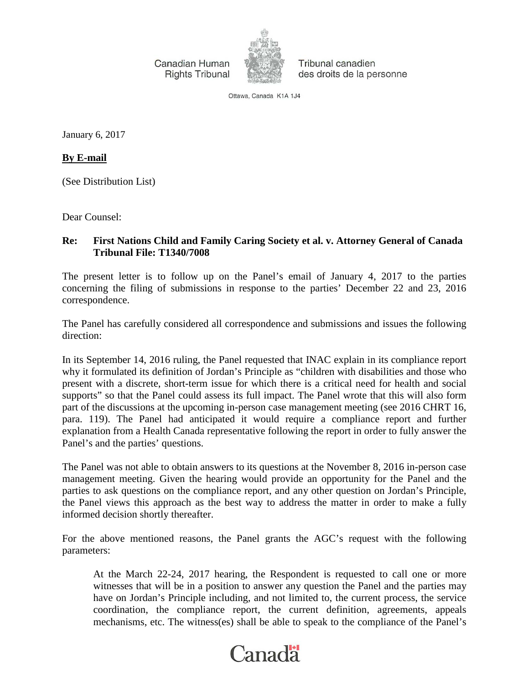Canadian Human **Rights Tribunal** 



Tribunal canadien des droits de la personne

Ottawa, Canada K1A 1J4

January 6, 2017

**By E-mail**

(See Distribution List)

Dear Counsel:

## **Re: First Nations Child and Family Caring Society et al. v. Attorney General of Canada Tribunal File: T1340/7008**

The present letter is to follow up on the Panel's email of January 4, 2017 to the parties concerning the filing of submissions in response to the parties' December 22 and 23, 2016 correspondence.

The Panel has carefully considered all correspondence and submissions and issues the following direction:

In its September 14, 2016 ruling, the Panel requested that INAC explain in its compliance report why it formulated its definition of Jordan's Principle as "children with disabilities and those who present with a discrete, short-term issue for which there is a critical need for health and social supports" so that the Panel could assess its full impact. The Panel wrote that this will also form part of the discussions at the upcoming in-person case management meeting (see 2016 CHRT 16, para. 119). The Panel had anticipated it would require a compliance report and further explanation from a Health Canada representative following the report in order to fully answer the Panel's and the parties' questions.

The Panel was not able to obtain answers to its questions at the November 8, 2016 in-person case management meeting. Given the hearing would provide an opportunity for the Panel and the parties to ask questions on the compliance report, and any other question on Jordan's Principle, the Panel views this approach as the best way to address the matter in order to make a fully informed decision shortly thereafter.

For the above mentioned reasons, the Panel grants the AGC's request with the following parameters:

At the March 22-24, 2017 hearing, the Respondent is requested to call one or more witnesses that will be in a position to answer any question the Panel and the parties may have on Jordan's Principle including, and not limited to, the current process, the service coordination, the compliance report, the current definition, agreements, appeals mechanisms, etc. The witness(es) shall be able to speak to the compliance of the Panel's

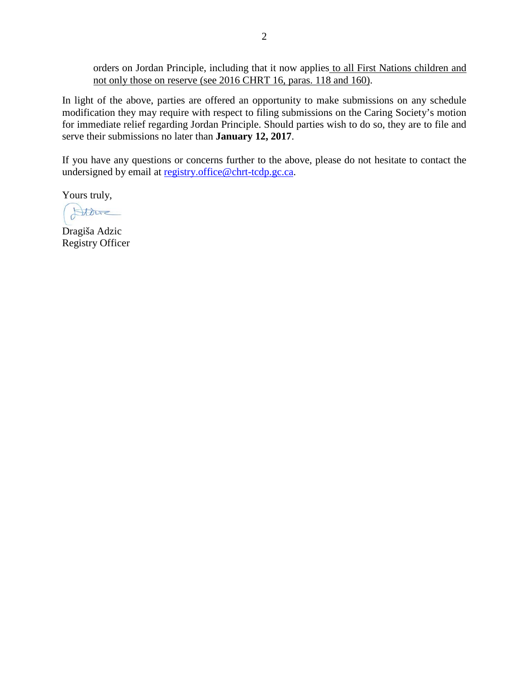orders on Jordan Principle, including that it now applies to all First Nations children and not only those on reserve (see 2016 CHRT 16, paras. 118 and 160).

In light of the above, parties are offered an opportunity to make submissions on any schedule modification they may require with respect to filing submissions on the Caring Society's motion for immediate relief regarding Jordan Principle. Should parties wish to do so, they are to file and serve their submissions no later than **January 12, 2017**.

If you have any questions or concerns further to the above, please do not hesitate to contact the undersigned by email at [registry.office@chrt-tcdp.gc.ca.](mailto:registry.office@chrt-tcdp.gc.ca)

Yours truly,

Alder

Dragiša Adzic Registry Officer